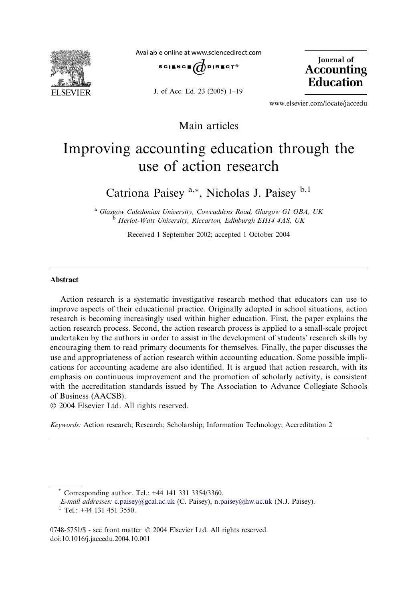

Available online at www.sciencedirect.com



J. of Acc. Ed. 23 (2005) 1–19

Journal of Accounting Education

www.elsevier.com/locate/jaccedu

Main articles

## Improving accounting education through the use of action research

Catriona Paisey<sup>a,\*</sup>, Nicholas J. Paisey<sup>b,1</sup>

a Glasgow Caledonian University, Cowcaddens Road, Glasgow G1 OBA, UK <sup>b</sup> Heriot-Watt University, Riccarton, Edinburgh EH14 4AS, UK

Received 1 September 2002; accepted 1 October 2004

## Abstract

Action research is a systematic investigative research method that educators can use to improve aspects of their educational practice. Originally adopted in school situations, action research is becoming increasingly used within higher education. First, the paper explains the action research process. Second, the action research process is applied to a small-scale project undertaken by the authors in order to assist in the development of students research skills by encouraging them to read primary documents for themselves. Finally, the paper discusses the use and appropriateness of action research within accounting education. Some possible implications for accounting academe are also identified. It is argued that action research, with its emphasis on continuous improvement and the promotion of scholarly activity, is consistent with the accreditation standards issued by The Association to Advance Collegiate Schools of Business (AACSB).

2004 Elsevier Ltd. All rights reserved.

Keywords: Action research; Research; Scholarship; Information Technology; Accreditation 2

Corresponding author. Tel.: +44 141 331 3354/3360.

E-mail addresses: [c.paisey@gcal.ac.uk](mailto:c.paisey@gcal.ac.uk ) (C. Paisey), [n.paisey@hw.ac.uk](mailto:n.paisey@hw.ac.uk ) (N.J. Paisey). <sup>1</sup> Tel.: +44 131 451 3550.

<sup>0748-5751/\$ -</sup> see front matter © 2004 Elsevier Ltd. All rights reserved. doi:10.1016/j.jaccedu.2004.10.001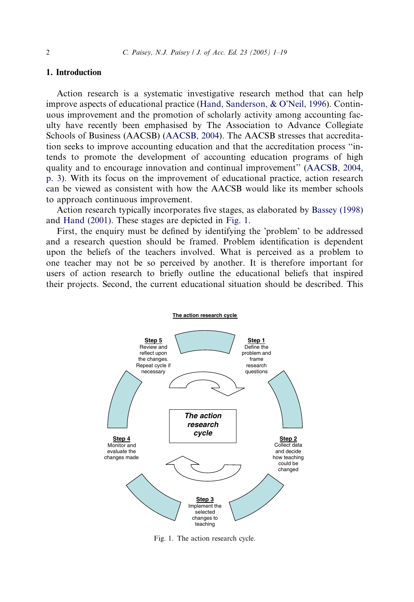## 1. Introduction

Action research is a systematic investigative research method that can help improve aspects of educational practice (Hand, Sanderson,  $&$  O'Neil, 1996). Continuous improvement and the promotion of scholarly activity among accounting faculty have recently been emphasised by The Association to Advance Collegiate Schools of Business (AACSB) [\(AACSB, 2004\)](#page--1-0). The AACSB stresses that accreditation seeks to improve accounting education and that the accreditation process ''intends to promote the development of accounting education programs of high quality and to encourage innovation and continual improvement'' [\(AACSB, 2004,](#page--1-0) [p. 3\)](#page--1-0). With its focus on the improvement of educational practice, action research can be viewed as consistent with how the AACSB would like its member schools to approach continuous improvement.

Action research typically incorporates five stages, as elaborated by [Bassey \(1998\)](#page--1-0) and [Hand \(2001\).](#page--1-0) These stages are depicted in Fig. 1.

First, the enquiry must be defined by identifying the 'problem' to be addressed and a research question should be framed. Problem identification is dependent upon the beliefs of the teachers involved. What is perceived as a problem to one teacher may not be so perceived by another. It is therefore important for users of action research to briefly outline the educational beliefs that inspired their projects. Second, the current educational situation should be described. This



Fig. 1. The action research cycle.